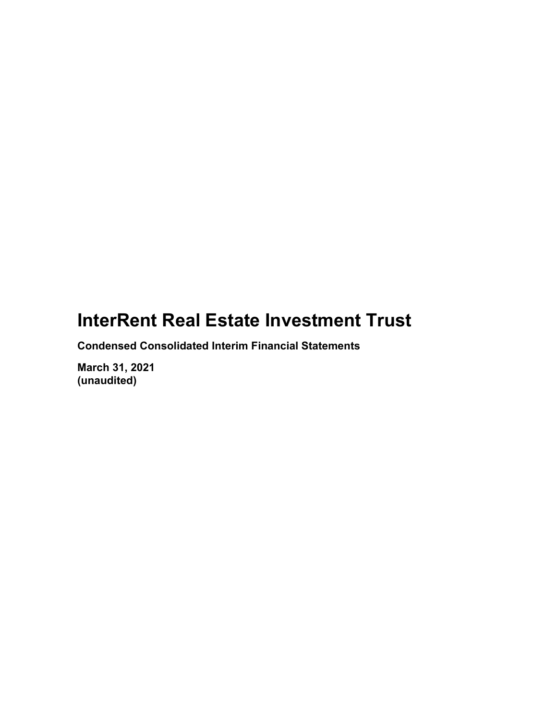Condensed Consolidated Interim Financial Statements

March 31, 2021 (unaudited)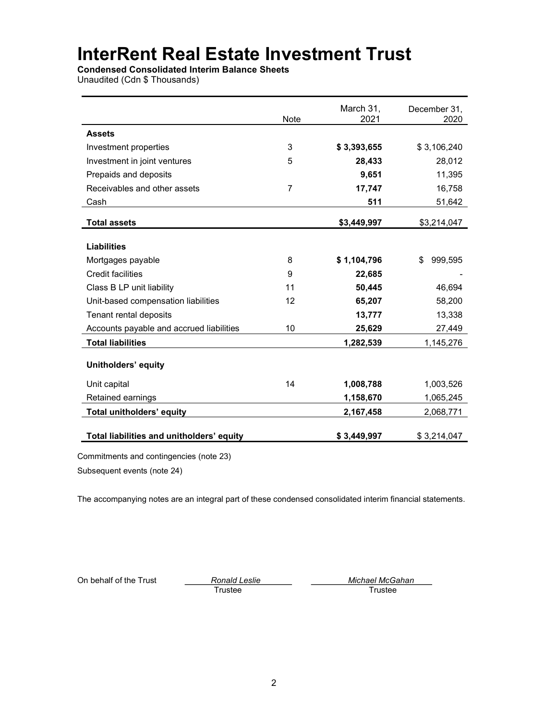Condensed Consolidated Interim Balance Sheets

Unaudited (Cdn \$ Thousands)

|                                           | Note | March 31,<br>2021 | December 31,<br>2020 |
|-------------------------------------------|------|-------------------|----------------------|
| <b>Assets</b>                             |      |                   |                      |
| Investment properties                     | 3    | \$3,393,655       | \$3,106,240          |
| Investment in joint ventures              | 5    | 28,433            | 28,012               |
| Prepaids and deposits                     |      | 9,651             | 11,395               |
| Receivables and other assets              | 7    | 17,747            | 16,758               |
| Cash                                      |      | 511               | 51,642               |
| <b>Total assets</b>                       |      | \$3,449,997       | \$3,214,047          |
|                                           |      |                   |                      |
| <b>Liabilities</b>                        |      |                   |                      |
| Mortgages payable                         | 8    | \$1,104,796       | \$<br>999,595        |
| <b>Credit facilities</b>                  | 9    | 22,685            |                      |
| Class B LP unit liability                 | 11   | 50,445            | 46.694               |
| Unit-based compensation liabilities       | 12   | 65,207            | 58,200               |
| Tenant rental deposits                    |      | 13,777            | 13,338               |
| Accounts payable and accrued liabilities  | 10   | 25,629            | 27,449               |
| <b>Total liabilities</b>                  |      | 1,282,539         | 1,145,276            |
| Unitholders' equity                       |      |                   |                      |
| Unit capital                              | 14   | 1,008,788         | 1,003,526            |
| Retained earnings                         |      | 1,158,670         | 1,065,245            |
| <b>Total unitholders' equity</b>          |      | 2,167,458         | 2,068,771            |
| Total liabilities and unitholders' equity |      | \$3,449,997       | \$3,214,047          |

Commitments and contingencies (note 23)

Subsequent events (note 24)

The accompanying notes are an integral part of these condensed consolidated interim financial statements.

Trustee Trustee

On behalf of the Trust Trust Ronald Leslie Michael McGahan Michael McGahan Trustee Trustee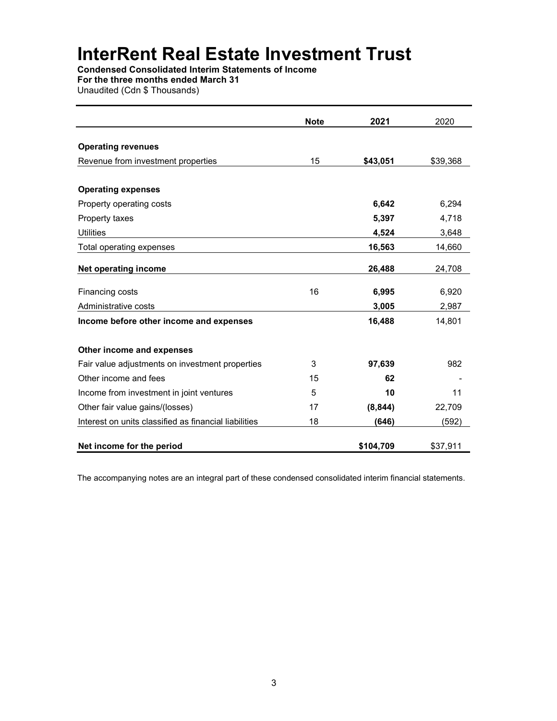Condensed Consolidated Interim Statements of Income For the three months ended March 31

Unaudited (Cdn \$ Thousands)

|                                                       | <b>Note</b> | 2021      | 2020     |
|-------------------------------------------------------|-------------|-----------|----------|
|                                                       |             |           |          |
| <b>Operating revenues</b>                             |             |           |          |
| Revenue from investment properties                    | 15          | \$43,051  | \$39,368 |
| <b>Operating expenses</b>                             |             |           |          |
| Property operating costs                              |             | 6,642     | 6,294    |
| Property taxes                                        |             | 5,397     | 4,718    |
| <b>Utilities</b>                                      |             | 4,524     | 3,648    |
| Total operating expenses                              |             | 16,563    | 14,660   |
| Net operating income                                  |             | 26,488    | 24,708   |
| Financing costs                                       | 16          | 6,995     | 6,920    |
| Administrative costs                                  |             | 3,005     | 2,987    |
| Income before other income and expenses               |             | 16,488    | 14,801   |
| Other income and expenses                             |             |           |          |
| Fair value adjustments on investment properties       | 3           | 97,639    | 982      |
| Other income and fees                                 | 15          | 62        |          |
| Income from investment in joint ventures              | 5           | 10        | 11       |
| Other fair value gains/(losses)                       | 17          | (8, 844)  | 22,709   |
| Interest on units classified as financial liabilities | 18          | (646)     | (592)    |
| Net income for the period                             |             | \$104,709 | \$37,911 |

The accompanying notes are an integral part of these condensed consolidated interim financial statements.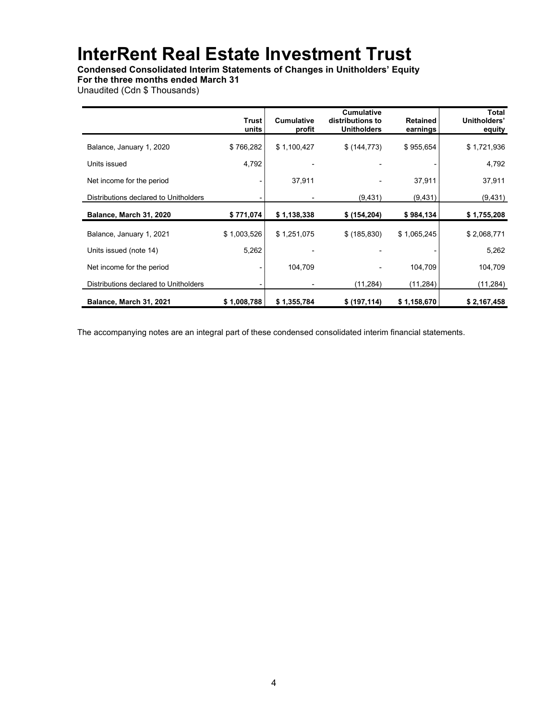Condensed Consolidated Interim Statements of Changes in Unitholders' Equity

For the three months ended March 31

Unaudited (Cdn \$ Thousands)

|                                       | <b>Trust</b><br>units | <b>Cumulative</b><br>profit | <b>Cumulative</b><br>distributions to<br><b>Unitholders</b> | <b>Retained</b><br>earnings | Total<br>Unitholders'<br>equity |
|---------------------------------------|-----------------------|-----------------------------|-------------------------------------------------------------|-----------------------------|---------------------------------|
| Balance, January 1, 2020              | \$766,282             | \$1,100,427                 | \$ (144, 773)                                               | \$955,654                   | \$1,721,936                     |
| Units issued                          | 4,792                 |                             |                                                             |                             | 4,792                           |
| Net income for the period             |                       | 37,911                      |                                                             | 37,911                      | 37,911                          |
| Distributions declared to Unitholders |                       |                             | (9, 431)                                                    | (9,431)                     | (9, 431)                        |
| Balance, March 31, 2020               | \$771,074             | \$1,138,338                 | \$ (154, 204)                                               | \$984,134                   | \$1,755,208                     |
| Balance, January 1, 2021              | \$1,003,526           | \$1,251,075                 | \$(185, 830)                                                | \$1,065,245                 | \$2,068,771                     |
| Units issued (note 14)                | 5,262                 |                             |                                                             |                             | 5,262                           |
| Net income for the period             |                       | 104,709                     |                                                             | 104,709                     | 104,709                         |
| Distributions declared to Unitholders |                       |                             | (11, 284)                                                   | (11,284)                    | (11,284)                        |
| Balance, March 31, 2021               | \$1,008,788           | \$1,355,784                 | \$ (197, 114)                                               | \$1,158,670                 | \$2,167,458                     |

The accompanying notes are an integral part of these condensed consolidated interim financial statements.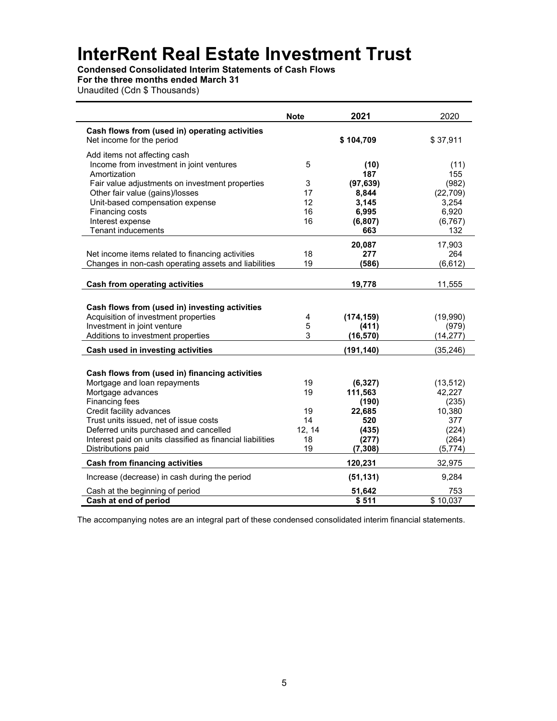Condensed Consolidated Interim Statements of Cash Flows

## For the three months ended March 31

Unaudited (Cdn \$ Thousands)

|                                                                                    | <b>Note</b> | 2021             | 2020         |
|------------------------------------------------------------------------------------|-------------|------------------|--------------|
| Cash flows from (used in) operating activities                                     |             |                  |              |
| Net income for the period                                                          |             | \$104,709        | \$37,911     |
| Add items not affecting cash                                                       |             |                  |              |
| Income from investment in joint ventures                                           | 5           | (10)             | (11)         |
| Amortization                                                                       | 3           | 187<br>(97, 639) | 155<br>(982) |
| Fair value adjustments on investment properties<br>Other fair value (gains)/losses | 17          | 8,844            | (22, 709)    |
| Unit-based compensation expense                                                    | 12          | 3,145            | 3,254        |
| Financing costs                                                                    | 16          | 6,995            | 6,920        |
| Interest expense                                                                   | 16          | (6, 807)         | (6, 767)     |
| <b>Tenant inducements</b>                                                          |             | 663              | 132          |
|                                                                                    |             | 20,087           | 17,903       |
| Net income items related to financing activities                                   | 18          | 277              | 264          |
| Changes in non-cash operating assets and liabilities                               | 19          | (586)            | (6, 612)     |
|                                                                                    |             |                  |              |
| Cash from operating activities                                                     |             | 19,778           | 11,555       |
|                                                                                    |             |                  |              |
| Cash flows from (used in) investing activities                                     |             |                  |              |
| Acquisition of investment properties                                               | 4           | (174, 159)       | (19,990)     |
| Investment in joint venture                                                        | 5           | (411)            | (979)        |
| Additions to investment properties                                                 | 3           | (16, 570)        | (14, 277)    |
| Cash used in investing activities                                                  |             | (191, 140)       | (35, 246)    |
|                                                                                    |             |                  |              |
| Cash flows from (used in) financing activities                                     |             |                  |              |
| Mortgage and loan repayments                                                       | 19          | (6, 327)         | (13, 512)    |
| Mortgage advances                                                                  | 19          | 111,563          | 42,227       |
| Financing fees                                                                     |             | (190)            | (235)        |
| Credit facility advances                                                           | 19<br>14    | 22,685<br>520    | 10,380       |
| Trust units issued, net of issue costs<br>Deferred units purchased and cancelled   | 12, 14      | (435)            | 377<br>(224) |
| Interest paid on units classified as financial liabilities                         | 18          | (277)            | (264)        |
| Distributions paid                                                                 | 19          | (7, 308)         | (5,774)      |
| <b>Cash from financing activities</b>                                              |             | 120,231          | 32,975       |
| Increase (decrease) in cash during the period                                      |             | (51, 131)        | 9,284        |
| Cash at the beginning of period                                                    |             | 51,642           | 753          |
| Cash at end of period                                                              |             | \$511            | \$10,037     |

The accompanying notes are an integral part of these condensed consolidated interim financial statements.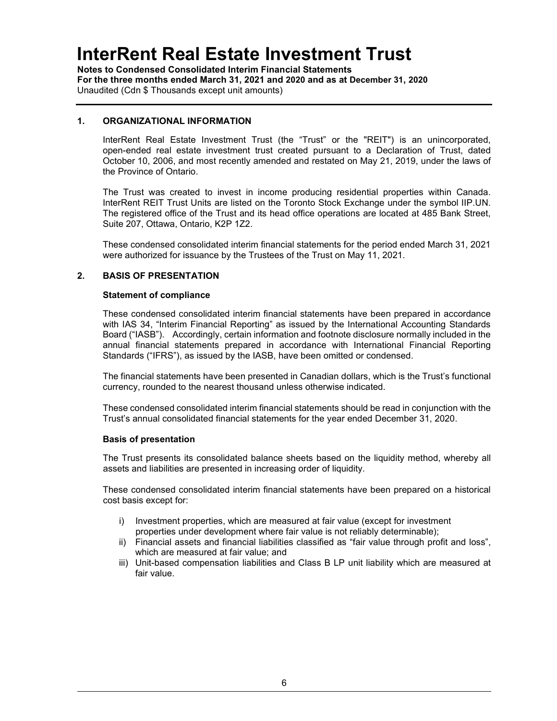Notes to Condensed Consolidated Interim Financial Statements For the three months ended March 31, 2021 and 2020 and as at December 31, 2020 Unaudited (Cdn \$ Thousands except unit amounts)

### 1. ORGANIZATIONAL INFORMATION

InterRent Real Estate Investment Trust (the "Trust" or the "REIT") is an unincorporated, open-ended real estate investment trust created pursuant to a Declaration of Trust, dated October 10, 2006, and most recently amended and restated on May 21, 2019, under the laws of the Province of Ontario.

The Trust was created to invest in income producing residential properties within Canada. InterRent REIT Trust Units are listed on the Toronto Stock Exchange under the symbol IIP.UN. The registered office of the Trust and its head office operations are located at 485 Bank Street, Suite 207, Ottawa, Ontario, K2P 1Z2.

These condensed consolidated interim financial statements for the period ended March 31, 2021 were authorized for issuance by the Trustees of the Trust on May 11, 2021.

### 2. BASIS OF PRESENTATION

#### Statement of compliance

These condensed consolidated interim financial statements have been prepared in accordance with IAS 34, "Interim Financial Reporting" as issued by the International Accounting Standards Board ("IASB"). Accordingly, certain information and footnote disclosure normally included in the annual financial statements prepared in accordance with International Financial Reporting Standards ("IFRS"), as issued by the IASB, have been omitted or condensed.

The financial statements have been presented in Canadian dollars, which is the Trust's functional currency, rounded to the nearest thousand unless otherwise indicated.

These condensed consolidated interim financial statements should be read in conjunction with the Trust's annual consolidated financial statements for the year ended December 31, 2020.

#### Basis of presentation

The Trust presents its consolidated balance sheets based on the liquidity method, whereby all assets and liabilities are presented in increasing order of liquidity.

These condensed consolidated interim financial statements have been prepared on a historical cost basis except for:

- i) Investment properties, which are measured at fair value (except for investment properties under development where fair value is not reliably determinable);
- ii) Financial assets and financial liabilities classified as "fair value through profit and loss", which are measured at fair value; and
- iii) Unit-based compensation liabilities and Class B LP unit liability which are measured at fair value.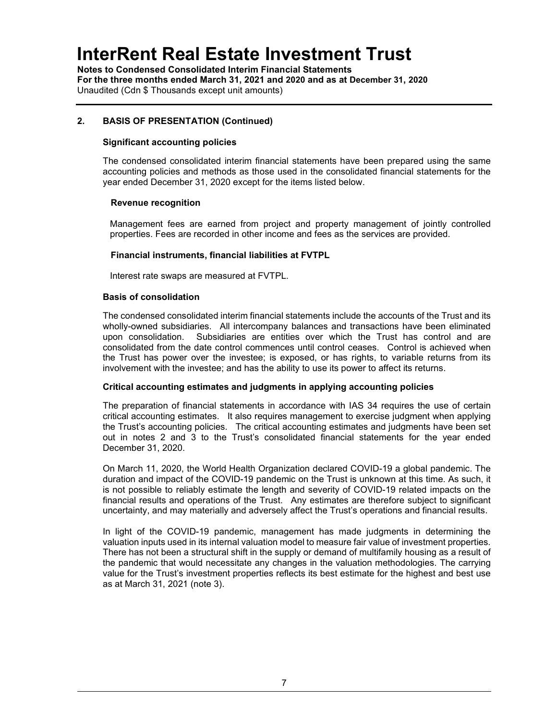Notes to Condensed Consolidated Interim Financial Statements For the three months ended March 31, 2021 and 2020 and as at December 31, 2020 Unaudited (Cdn \$ Thousands except unit amounts)

## 2. BASIS OF PRESENTATION (Continued)

### Significant accounting policies

The condensed consolidated interim financial statements have been prepared using the same accounting policies and methods as those used in the consolidated financial statements for the year ended December 31, 2020 except for the items listed below.

### Revenue recognition

Management fees are earned from project and property management of jointly controlled properties. Fees are recorded in other income and fees as the services are provided.

### Financial instruments, financial liabilities at FVTPL

Interest rate swaps are measured at FVTPL.

### Basis of consolidation

The condensed consolidated interim financial statements include the accounts of the Trust and its wholly-owned subsidiaries. All intercompany balances and transactions have been eliminated upon consolidation. Subsidiaries are entities over which the Trust has control and are consolidated from the date control commences until control ceases. Control is achieved when the Trust has power over the investee; is exposed, or has rights, to variable returns from its involvement with the investee; and has the ability to use its power to affect its returns.

#### Critical accounting estimates and judgments in applying accounting policies

The preparation of financial statements in accordance with IAS 34 requires the use of certain critical accounting estimates. It also requires management to exercise judgment when applying the Trust's accounting policies. The critical accounting estimates and judgments have been set out in notes 2 and 3 to the Trust's consolidated financial statements for the year ended December 31, 2020.

On March 11, 2020, the World Health Organization declared COVID-19 a global pandemic. The duration and impact of the COVID-19 pandemic on the Trust is unknown at this time. As such, it is not possible to reliably estimate the length and severity of COVID-19 related impacts on the financial results and operations of the Trust. Any estimates are therefore subject to significant uncertainty, and may materially and adversely affect the Trust's operations and financial results.

In light of the COVID-19 pandemic, management has made judgments in determining the valuation inputs used in its internal valuation model to measure fair value of investment properties. There has not been a structural shift in the supply or demand of multifamily housing as a result of the pandemic that would necessitate any changes in the valuation methodologies. The carrying value for the Trust's investment properties reflects its best estimate for the highest and best use as at March 31, 2021 (note 3).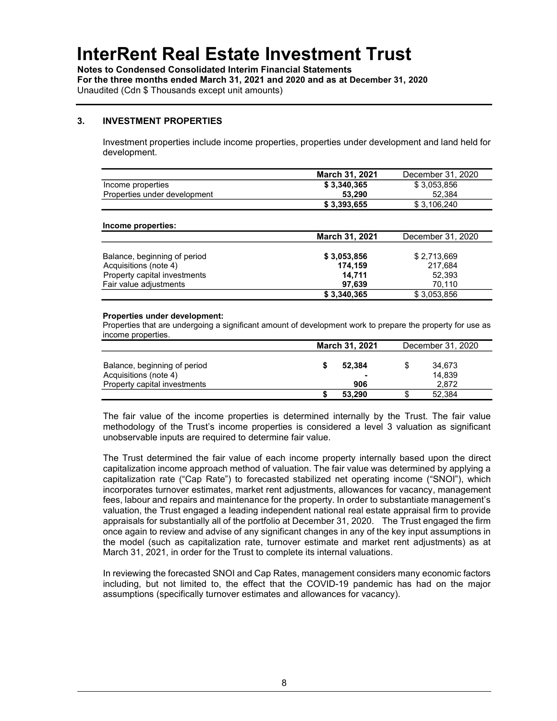Notes to Condensed Consolidated Interim Financial Statements For the three months ended March 31, 2021 and 2020 and as at December 31, 2020 Unaudited (Cdn \$ Thousands except unit amounts)

### 3. INVESTMENT PROPERTIES

Investment properties include income properties, properties under development and land held for development.

|                              | <b>March 31, 2021</b> | December 31, 2020 |
|------------------------------|-----------------------|-------------------|
| Income properties            | \$3.340.365           | \$3.053.856       |
| Properties under development | 53.290                | 52.384            |
|                              | \$3,393,655           | \$3,106,240       |

#### Income properties:

|                              | <b>March 31, 2021</b> | December 31, 2020 |
|------------------------------|-----------------------|-------------------|
|                              |                       |                   |
| Balance, beginning of period | \$3,053,856           | \$2,713,669       |
| Acquisitions (note 4)        | 174.159               | 217.684           |
| Property capital investments | 14.711                | 52.393            |
| Fair value adiustments       | 97,639                | 70.110            |
|                              | \$3,340,365           | \$3,053,856       |

#### Properties under development:

Properties that are undergoing a significant amount of development work to prepare the property for use as income properties.

|                              | <b>March 31, 2021</b> |        | December 31, 2020 |        |
|------------------------------|-----------------------|--------|-------------------|--------|
|                              |                       |        |                   |        |
| Balance, beginning of period |                       | 52.384 |                   | 34.673 |
| Acquisitions (note 4)        |                       | ۰      |                   | 14,839 |
| Property capital investments |                       | 906    |                   | 2.872  |
|                              |                       | 53.290 |                   | 52.384 |

The fair value of the income properties is determined internally by the Trust. The fair value methodology of the Trust's income properties is considered a level 3 valuation as significant unobservable inputs are required to determine fair value.

The Trust determined the fair value of each income property internally based upon the direct capitalization income approach method of valuation. The fair value was determined by applying a capitalization rate ("Cap Rate") to forecasted stabilized net operating income ("SNOI"), which incorporates turnover estimates, market rent adjustments, allowances for vacancy, management fees, labour and repairs and maintenance for the property. In order to substantiate management's valuation, the Trust engaged a leading independent national real estate appraisal firm to provide appraisals for substantially all of the portfolio at December 31, 2020. The Trust engaged the firm once again to review and advise of any significant changes in any of the key input assumptions in the model (such as capitalization rate, turnover estimate and market rent adjustments) as at March 31, 2021, in order for the Trust to complete its internal valuations.

In reviewing the forecasted SNOI and Cap Rates, management considers many economic factors including, but not limited to, the effect that the COVID-19 pandemic has had on the major assumptions (specifically turnover estimates and allowances for vacancy).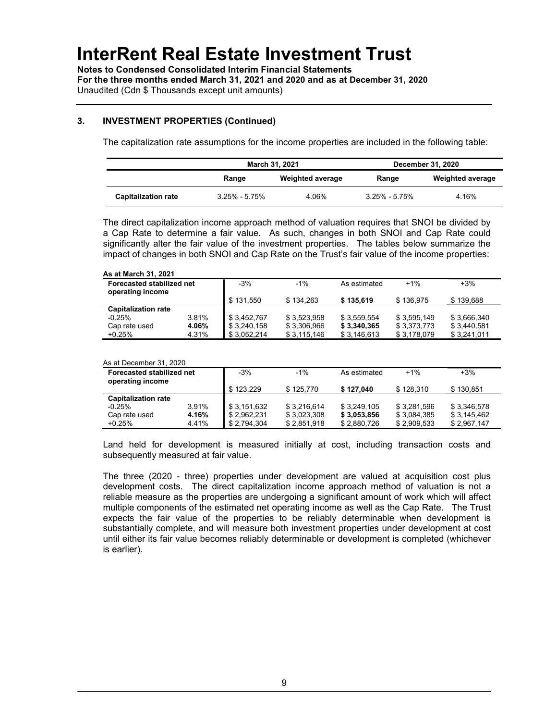Notes to Condensed Consolidated Interim Financial Statements For the three months ended March 31, 2021 and 2020 and as at December 31, 2020 Unaudited (Cdn \$ Thousands except unit amounts)

## 3. INVESTMENT PROPERTIES (Continued)

The capitalization rate assumptions for the income properties are included in the following table:

|                            |                           | March 31, 2021 |                   | December 31, 2020       |
|----------------------------|---------------------------|----------------|-------------------|-------------------------|
|                            | Weighted average<br>Range |                | Range             | <b>Weighted average</b> |
| <b>Capitalization rate</b> | $3.25\% - 5.75\%$         | 4.06%          | $3.25\% - 5.75\%$ | 4.16%                   |

The direct capitalization income approach method of valuation requires that SNOI be divided by a Cap Rate to determine a fair value. As such, changes in both SNOI and Cap Rate could significantly alter the fair value of the investment properties. The tables below summarize the impact of changes in both SNOI and Cap Rate on the Trust's fair value of the income properties:

#### As at March 31, 2021

| <b>Forecasted stabilized net</b><br>operating income |       | $-3%$       | $-1\%$       | As estimated | $+1%$       | $+3%$       |
|------------------------------------------------------|-------|-------------|--------------|--------------|-------------|-------------|
|                                                      |       | \$131.550   | \$134.263    | \$135,619    | \$136.975   | \$139.688   |
| <b>Capitalization rate</b>                           |       |             |              |              |             |             |
| $-0.25%$                                             | 3.81% | \$3,452,767 | \$3.523.958  | \$3.559.554  | \$3.595.149 | \$3,666,340 |
| Cap rate used                                        | 4.06% | \$3,240,158 | \$3,306,966  | \$3,340,365  | \$3.373.773 | \$3,440,581 |
| $+0.25%$                                             | 4.31% | \$3.052.214 | \$ 3.115.146 | \$3,146,613  | \$3,178,079 | \$3,241,011 |

#### As at December 31, 2020

| Forecasted stabilized net<br>operating income |       | $-3%$       | $-1%$       | As estimated | $+1%$       | $+3%$       |
|-----------------------------------------------|-------|-------------|-------------|--------------|-------------|-------------|
|                                               |       | \$123.229   | \$125.770   | \$127.040    | \$128.310   | \$130.851   |
| <b>Capitalization rate</b>                    |       |             |             |              |             |             |
| $-0.25%$                                      | 3.91% | \$3,151,632 | \$3.216.614 | \$3.249.105  | \$3,281,596 | \$3,346,578 |
| Cap rate used                                 | 4.16% | \$2,962,231 | \$3,023,308 | \$3,053,856  | \$3,084,385 | \$3,145,462 |
| $+0.25%$                                      | 4.41% | \$2.794.304 | \$2,851,918 | \$2,880,726  | \$2,909,533 | \$2,967,147 |

Land held for development is measured initially at cost, including transaction costs and subsequently measured at fair value.

The three (2020 - three) properties under development are valued at acquisition cost plus development costs. The direct capitalization income approach method of valuation is not a reliable measure as the properties are undergoing a significant amount of work which will affect multiple components of the estimated net operating income as well as the Cap Rate. The Trust expects the fair value of the properties to be reliably determinable when development is substantially complete, and will measure both investment properties under development at cost until either its fair value becomes reliably determinable or development is completed (whichever is earlier).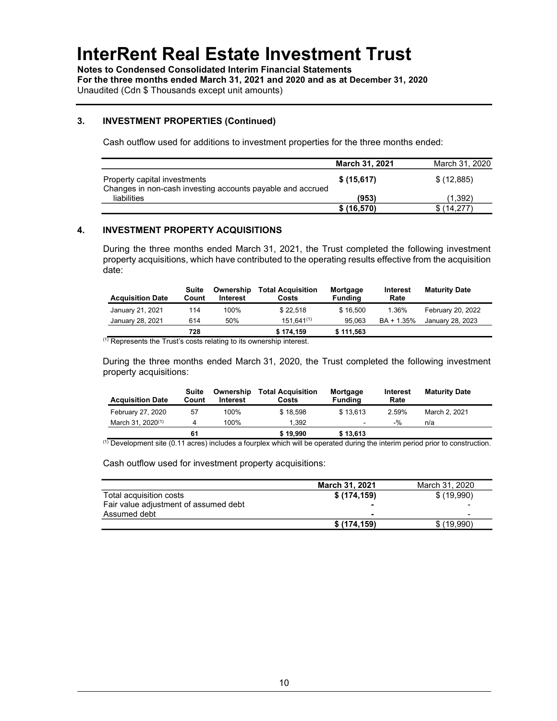Notes to Condensed Consolidated Interim Financial Statements For the three months ended March 31, 2021 and 2020 and as at December 31, 2020 Unaudited (Cdn \$ Thousands except unit amounts)

### 3. INVESTMENT PROPERTIES (Continued)

Cash outflow used for additions to investment properties for the three months ended:

|                                                                                            | <b>March 31, 2021</b> | March 31, 2020 |
|--------------------------------------------------------------------------------------------|-----------------------|----------------|
| Property capital investments<br>Changes in non-cash investing accounts payable and accrued | \$(15,617)            | \$(12,885)     |
| liabilities                                                                                | (953)                 | (1.392)        |
|                                                                                            | \$(16, 570)           | \$(14.277)     |

## 4. INVESTMENT PROPERTY ACQUISITIONS

During the three months ended March 31, 2021, the Trust completed the following investment property acquisitions, which have contributed to the operating results effective from the acquisition date:

| <b>Acquisition Date</b> | Suite<br>Count | Ownership<br><b>Interest</b> | <b>Total Acquisition</b><br>Costs | Mortgage<br>Fundina | Interest<br>Rate | <b>Maturity Date</b> |
|-------------------------|----------------|------------------------------|-----------------------------------|---------------------|------------------|----------------------|
| January 21, 2021        | 114            | 100%                         | \$22.518                          | \$16.500            | 1.36%            | February 20, 2022    |
| January 28, 2021        | 614            | 50%                          | $151.641^{(1)}$                   | 95.063              | BA + 1.35%       | January 28, 2023     |
|                         | 728            |                              | \$174,159                         | \$111,563           |                  |                      |

 $(1)$  Represents the Trust's costs relating to its ownership interest.

During the three months ended March 31, 2020, the Trust completed the following investment property acquisitions:

| <b>Acquisition Date</b> | Suite<br>Count | Ownership<br><b>Interest</b> | <b>Total Acquisition</b><br>Costs | Mortgage<br>Fundina | <b>Interest</b><br>Rate | <b>Maturity Date</b> |
|-------------------------|----------------|------------------------------|-----------------------------------|---------------------|-------------------------|----------------------|
| February 27, 2020       | 57             | 100%                         | \$18.598                          | \$13.613            | 2.59%                   | March 2, 2021        |
| March 31, $2020^{(1)}$  |                | 100%                         | 1.392                             | ٠                   | $-9/2$                  | n/a                  |
|                         | 61             |                              | \$19,990                          | \$13,613            |                         |                      |

(1) Development site (0.11 acres) includes a fourplex which will be operated during the interim period prior to construction.

Cash outflow used for investment property acquisitions:

|                                       | <b>March 31, 2021</b> | March 31, 2020 |
|---------------------------------------|-----------------------|----------------|
| Total acquisition costs               | \$(174, 159)          | \$(19,990)     |
| Fair value adjustment of assumed debt | -                     | -              |
| Assumed debt                          | -                     | -              |
|                                       | \$(174.159)           | \$(19,990)     |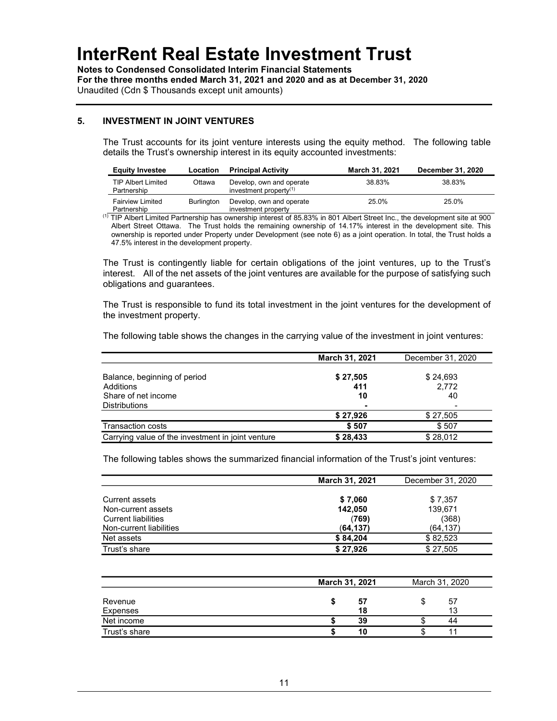Notes to Condensed Consolidated Interim Financial Statements For the three months ended March 31, 2021 and 2020 and as at December 31, 2020 Unaudited (Cdn \$ Thousands except unit amounts)

### 5. INVESTMENT IN JOINT VENTURES

The Trust accounts for its joint venture interests using the equity method. The following table details the Trust's ownership interest in its equity accounted investments:

| <b>Equity Investee</b>                   | Location   | <b>Principal Activity</b>                             | March 31, 2021 | <b>December 31, 2020</b> |
|------------------------------------------|------------|-------------------------------------------------------|----------------|--------------------------|
| <b>TIP Albert Limited</b><br>Partnership | Ottawa     | Develop, own and operate<br>investment property $(1)$ | 38.83%         | 38.83%                   |
| <b>Fairview Limited</b><br>Partnership   | Burlington | Develop, own and operate<br>investment property       | 25.0%          | 25.0%                    |

<sup>(1)</sup> TIP Albert Limited Partnership has ownership interest of 85.83% in 801 Albert Street Inc., the development site at 900 Albert Street Ottawa. The Trust holds the remaining ownership of 14.17% interest in the development site. This ownership is reported under Property under Development (see note 6) as a joint operation. In total, the Trust holds a 47.5% interest in the development property.

The Trust is contingently liable for certain obligations of the joint ventures, up to the Trust's interest. All of the net assets of the joint ventures are available for the purpose of satisfying such obligations and guarantees.

The Trust is responsible to fund its total investment in the joint ventures for the development of the investment property.

The following table shows the changes in the carrying value of the investment in joint ventures:

|                                                   | March 31, 2021 | December 31, 2020 |
|---------------------------------------------------|----------------|-------------------|
|                                                   |                |                   |
| Balance, beginning of period                      | \$27,505       | \$24,693          |
| Additions                                         | 411            | 2,772             |
| Share of net income                               | 10             | 40                |
| <b>Distributions</b>                              | -              |                   |
|                                                   | \$27,926       | \$27,505          |
| <b>Transaction costs</b>                          | \$507          | \$507             |
| Carrying value of the investment in joint venture | \$28,433       | \$28,012          |

The following tables shows the summarized financial information of the Trust's joint ventures:

|                            | March 31, 2021 | December 31, 2020 |
|----------------------------|----------------|-------------------|
|                            |                |                   |
| Current assets             | \$7,060        | \$7,357           |
| Non-current assets         | 142,050        | 139,671           |
| <b>Current liabilities</b> | (769)          | (368)             |
| Non-current liabilities    | (64, 137)      | (64, 137)         |
| Net assets                 | \$84,204       | \$82,523          |
| Trust's share              | \$27,926       | \$27,505          |

|               | March 31, 2021 |    | March 31, 2020 |
|---------------|----------------|----|----------------|
| Revenue       |                | 57 | 57             |
| Expenses      |                | 18 |                |
| Net income    |                | 39 | 44             |
| Trust's share |                | 10 |                |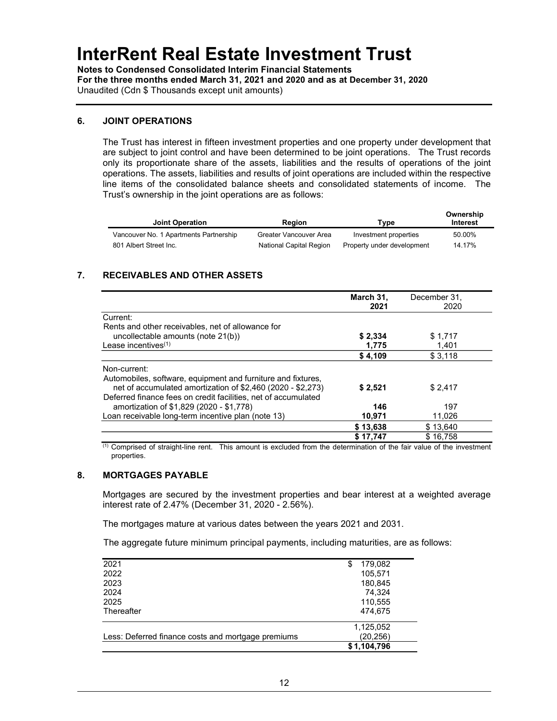Notes to Condensed Consolidated Interim Financial Statements For the three months ended March 31, 2021 and 2020 and as at December 31, 2020 Unaudited (Cdn \$ Thousands except unit amounts)

### 6. JOINT OPERATIONS

The Trust has interest in fifteen investment properties and one property under development that are subject to joint control and have been determined to be joint operations. The Trust records only its proportionate share of the assets, liabilities and the results of operations of the joint operations. The assets, liabilities and results of joint operations are included within the respective line items of the consolidated balance sheets and consolidated statements of income. The Trust's ownership in the joint operations are as follows:

| <b>Joint Operation</b>                 | <b>Region</b>           | Type                       | Ownership<br>Interest |
|----------------------------------------|-------------------------|----------------------------|-----------------------|
| Vancouver No. 1 Apartments Partnership | Greater Vancouver Area  | Investment properties      | 50.00%                |
| 801 Albert Street Inc.                 | National Capital Region | Property under development | 14.17%                |

## 7. RECEIVABLES AND OTHER ASSETS

|                                                                                                                             | March 31,<br>2021 | December 31.<br>2020 |
|-----------------------------------------------------------------------------------------------------------------------------|-------------------|----------------------|
| Current:                                                                                                                    |                   |                      |
| Rents and other receivables, net of allowance for                                                                           |                   |                      |
| uncollectable amounts (note 21(b))                                                                                          | \$2,334           | \$1,717              |
| Lease incentives $(1)$                                                                                                      | 1,775             | 1,401                |
|                                                                                                                             | \$4,109           | \$3,118              |
| Non-current:                                                                                                                |                   |                      |
| Automobiles, software, equipment and furniture and fixtures,<br>net of accumulated amortization of \$2,460 (2020 - \$2,273) | \$2,521           | \$2,417              |
| Deferred finance fees on credit facilities, net of accumulated                                                              |                   |                      |
| amortization of \$1,829 (2020 - \$1,778)                                                                                    | 146               | 197                  |
| Loan receivable long-term incentive plan (note 13)                                                                          | 10,971            | 11,026               |
|                                                                                                                             | \$13,638          | \$13,640             |
|                                                                                                                             | \$17.747          | \$16.758             |

 $<sup>(1)</sup>$  Comprised of straight-line rent. This amount is excluded from the determination of the fair value of the investment</sup> properties.

### 8. MORTGAGES PAYABLE

Mortgages are secured by the investment properties and bear interest at a weighted average interest rate of 2.47% (December 31, 2020 - 2.56%).

The mortgages mature at various dates between the years 2021 and 2031.

The aggregate future minimum principal payments, including maturities, are as follows:

| 2021                                               | 179,082     |  |
|----------------------------------------------------|-------------|--|
| 2022                                               | 105,571     |  |
| 2023                                               | 180,845     |  |
| 2024                                               | 74,324      |  |
| 2025                                               | 110,555     |  |
| Thereafter                                         | 474.675     |  |
|                                                    | 1,125,052   |  |
| Less: Deferred finance costs and mortgage premiums | (20, 256)   |  |
|                                                    | \$1,104,796 |  |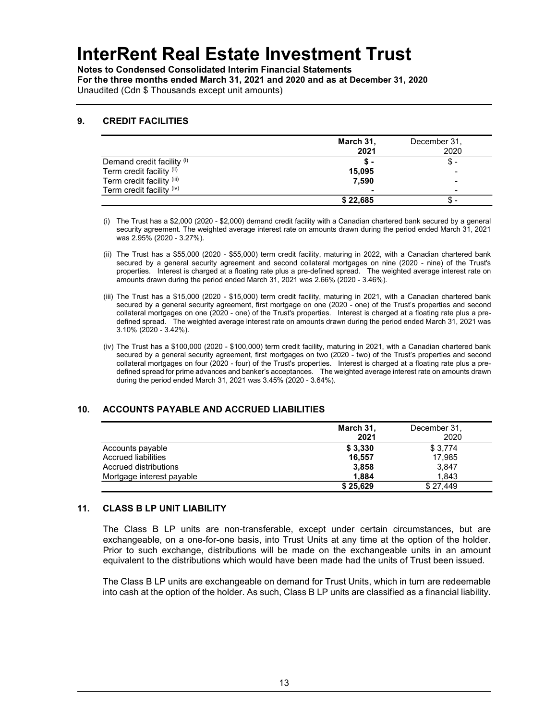Notes to Condensed Consolidated Interim Financial Statements For the three months ended March 31, 2021 and 2020 and as at December 31, 2020 Unaudited (Cdn \$ Thousands except unit amounts)

### 9. CREDIT FACILITIES

|                            | March 31,<br>2021 | December 31,<br>2020 |
|----------------------------|-------------------|----------------------|
| Demand credit facility (i) | Ֆ-                | \$                   |
| Term credit facility (ii)  | 15,095            | -                    |
| Term credit facility (iii) | 7,590             | -                    |
| Term credit facility (iv)  | -                 | -                    |
|                            | \$22,685          | Ъ                    |

- (i) The Trust has a \$2,000 (2020 \$2,000) demand credit facility with a Canadian chartered bank secured by a general security agreement. The weighted average interest rate on amounts drawn during the period ended March 31, 2021 was 2.95% (2020 - 3.27%).
- (ii) The Trust has a \$55,000 (2020 \$55,000) term credit facility, maturing in 2022, with a Canadian chartered bank secured by a general security agreement and second collateral mortgages on nine (2020 - nine) of the Trust's properties. Interest is charged at a floating rate plus a pre-defined spread. The weighted average interest rate on amounts drawn during the period ended March 31, 2021 was 2.66% (2020 - 3.46%).
- (iii) The Trust has a \$15,000 (2020 \$15,000) term credit facility, maturing in 2021, with a Canadian chartered bank secured by a general security agreement, first mortgage on one (2020 - one) of the Trust's properties and second collateral mortgages on one (2020 - one) of the Trust's properties. Interest is charged at a floating rate plus a predefined spread. The weighted average interest rate on amounts drawn during the period ended March 31, 2021 was 3.10% (2020 - 3.42%).
- (iv) The Trust has a \$100,000 (2020 \$100,000) term credit facility, maturing in 2021, with a Canadian chartered bank secured by a general security agreement, first mortgages on two (2020 - two) of the Trust's properties and second collateral mortgages on four (2020 - four) of the Trust's properties. Interest is charged at a floating rate plus a predefined spread for prime advances and banker's acceptances. The weighted average interest rate on amounts drawn during the period ended March 31, 2021 was 3.45% (2020 - 3.64%).

## 10. ACCOUNTS PAYABLE AND ACCRUED LIABILITIES

|                           | March 31, | December 31, |
|---------------------------|-----------|--------------|
|                           | 2021      | 2020         |
| Accounts payable          | \$3,330   | \$3.774      |
| Accrued liabilities       | 16,557    | 17.985       |
| Accrued distributions     | 3,858     | 3.847        |
| Mortgage interest payable | 1.884     | 1.843        |
|                           | \$25,629  | \$27.449     |

## 11. CLASS B LP UNIT LIABILITY

The Class B LP units are non-transferable, except under certain circumstances, but are exchangeable, on a one-for-one basis, into Trust Units at any time at the option of the holder. Prior to such exchange, distributions will be made on the exchangeable units in an amount equivalent to the distributions which would have been made had the units of Trust been issued.

The Class B LP units are exchangeable on demand for Trust Units, which in turn are redeemable into cash at the option of the holder. As such, Class B LP units are classified as a financial liability.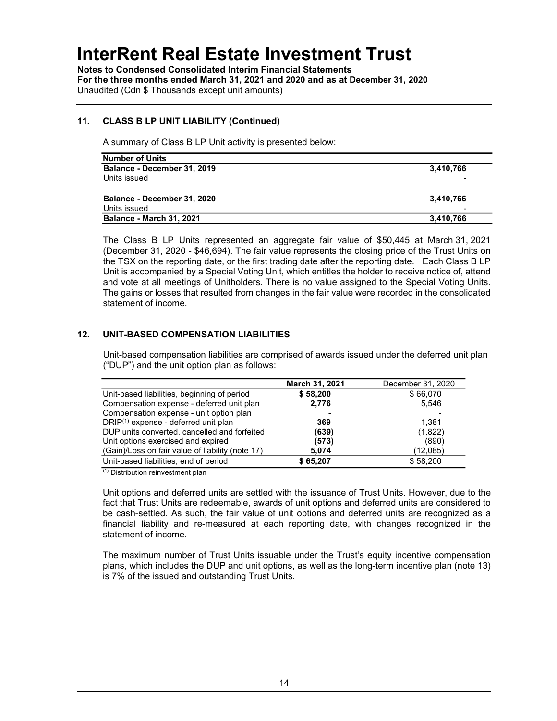Notes to Condensed Consolidated Interim Financial Statements For the three months ended March 31, 2021 and 2020 and as at December 31, 2020 Unaudited (Cdn \$ Thousands except unit amounts)

## 11. CLASS B LP UNIT LIABILITY (Continued)

A summary of Class B LP Unit activity is presented below:

| <b>Number of Units</b>          |           |
|---------------------------------|-----------|
| Balance - December 31, 2019     | 3,410,766 |
| Units issued                    |           |
|                                 |           |
| Balance - December 31, 2020     | 3,410,766 |
| Units issued                    |           |
| <b>Balance - March 31, 2021</b> | 3,410,766 |

The Class B LP Units represented an aggregate fair value of \$50,445 at March 31, 2021 (December 31, 2020 - \$46,694). The fair value represents the closing price of the Trust Units on the TSX on the reporting date, or the first trading date after the reporting date. Each Class B LP Unit is accompanied by a Special Voting Unit, which entitles the holder to receive notice of, attend and vote at all meetings of Unitholders. There is no value assigned to the Special Voting Units. The gains or losses that resulted from changes in the fair value were recorded in the consolidated statement of income.

## 12. UNIT-BASED COMPENSATION LIABILITIES

Unit-based compensation liabilities are comprised of awards issued under the deferred unit plan ("DUP") and the unit option plan as follows:

|                                                  | March 31, 2021 | December 31, 2020 |
|--------------------------------------------------|----------------|-------------------|
| Unit-based liabilities, beginning of period      | \$58,200       | \$66,070          |
| Compensation expense - deferred unit plan        | 2,776          | 5.546             |
| Compensation expense - unit option plan          |                |                   |
| $DRIP(1)$ expense - deferred unit plan           | 369            | 1.381             |
| DUP units converted, cancelled and forfeited     | (639)          | (1,822)           |
| Unit options exercised and expired               | (573)          | (890)             |
| (Gain)/Loss on fair value of liability (note 17) | 5,074          | (12,085)          |
| Unit-based liabilities, end of period            | \$65,207       | \$58,200          |
| $(1)$ Distribution roinvestment plan             |                |                   |

(1) Distribution reinvestment plan

Unit options and deferred units are settled with the issuance of Trust Units. However, due to the fact that Trust Units are redeemable, awards of unit options and deferred units are considered to be cash-settled. As such, the fair value of unit options and deferred units are recognized as a financial liability and re-measured at each reporting date, with changes recognized in the statement of income.

The maximum number of Trust Units issuable under the Trust's equity incentive compensation plans, which includes the DUP and unit options, as well as the long-term incentive plan (note 13) is 7% of the issued and outstanding Trust Units.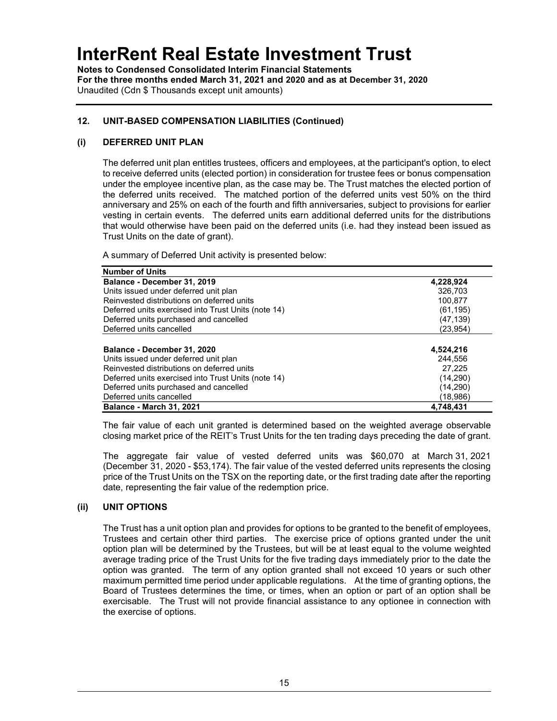Notes to Condensed Consolidated Interim Financial Statements For the three months ended March 31, 2021 and 2020 and as at December 31, 2020 Unaudited (Cdn \$ Thousands except unit amounts)

## 12. UNIT-BASED COMPENSATION LIABILITIES (Continued)

## (i) DEFERRED UNIT PLAN

The deferred unit plan entitles trustees, officers and employees, at the participant's option, to elect to receive deferred units (elected portion) in consideration for trustee fees or bonus compensation under the employee incentive plan, as the case may be. The Trust matches the elected portion of the deferred units received. The matched portion of the deferred units vest 50% on the third anniversary and 25% on each of the fourth and fifth anniversaries, subject to provisions for earlier vesting in certain events. The deferred units earn additional deferred units for the distributions that would otherwise have been paid on the deferred units (i.e. had they instead been issued as Trust Units on the date of grant).

A summary of Deferred Unit activity is presented below:

| <b>Number of Units</b>                              |           |
|-----------------------------------------------------|-----------|
| Balance - December 31, 2019                         | 4,228,924 |
| Units issued under deferred unit plan               | 326.703   |
| Reinvested distributions on deferred units          | 100,877   |
| Deferred units exercised into Trust Units (note 14) | (61, 195) |
| Deferred units purchased and cancelled              | (47,139)  |
| Deferred units cancelled                            | (23,954)  |
|                                                     |           |
| Balance - December 31, 2020                         | 4,524,216 |
| Units issued under deferred unit plan               | 244.556   |
| Reinvested distributions on deferred units          | 27.225    |
| Deferred units exercised into Trust Units (note 14) | (14,290)  |
| Deferred units purchased and cancelled              | (14, 290) |
| Deferred units cancelled                            | (18.986)  |
| <b>Balance - March 31, 2021</b>                     | 4.748.431 |

The fair value of each unit granted is determined based on the weighted average observable closing market price of the REIT's Trust Units for the ten trading days preceding the date of grant.

The aggregate fair value of vested deferred units was \$60,070 at March 31, 2021 (December 31, 2020 - \$53,174). The fair value of the vested deferred units represents the closing price of the Trust Units on the TSX on the reporting date, or the first trading date after the reporting date, representing the fair value of the redemption price.

## (ii) UNIT OPTIONS

The Trust has a unit option plan and provides for options to be granted to the benefit of employees, Trustees and certain other third parties. The exercise price of options granted under the unit option plan will be determined by the Trustees, but will be at least equal to the volume weighted average trading price of the Trust Units for the five trading days immediately prior to the date the option was granted. The term of any option granted shall not exceed 10 years or such other maximum permitted time period under applicable regulations. At the time of granting options, the Board of Trustees determines the time, or times, when an option or part of an option shall be exercisable. The Trust will not provide financial assistance to any optionee in connection with the exercise of options.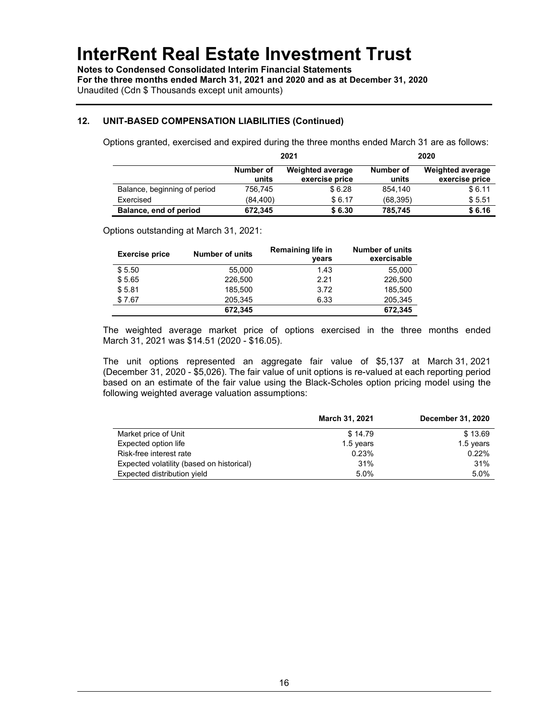Notes to Condensed Consolidated Interim Financial Statements For the three months ended March 31, 2021 and 2020 and as at December 31, 2020 Unaudited (Cdn \$ Thousands except unit amounts)

## 12. UNIT-BASED COMPENSATION LIABILITIES (Continued)

Options granted, exercised and expired during the three months ended March 31 are as follows:

|                              | 2021               |                                           | 2020               |                                           |
|------------------------------|--------------------|-------------------------------------------|--------------------|-------------------------------------------|
|                              | Number of<br>units | <b>Weighted average</b><br>exercise price | Number of<br>units | <b>Weighted average</b><br>exercise price |
| Balance, beginning of period | 756.745            | \$6.28                                    | 854.140            | \$6.11                                    |
| Exercised                    | (84.400)           | \$6.17                                    | (68, 395)          | \$5.51                                    |
| Balance, end of period       | 672,345            | \$6.30                                    | 785,745            | \$6.16                                    |

Options outstanding at March 31, 2021:

| <b>Exercise price</b> | <b>Number of units</b> | <b>Remaining life in</b><br>vears | <b>Number of units</b><br>exercisable |
|-----------------------|------------------------|-----------------------------------|---------------------------------------|
| \$5.50                | 55.000                 | 1.43                              | 55.000                                |
| \$5.65                | 226,500                | 2.21                              | 226,500                               |
| \$5.81                | 185.500                | 3.72                              | 185.500                               |
| \$7.67                | 205.345                | 6.33                              | 205,345                               |
|                       | 672,345                |                                   | 672,345                               |

The weighted average market price of options exercised in the three months ended March 31, 2021 was \$14.51 (2020 - \$16.05).

The unit options represented an aggregate fair value of \$5,137 at March 31, 2021 (December 31, 2020 - \$5,026). The fair value of unit options is re-valued at each reporting period based on an estimate of the fair value using the Black-Scholes option pricing model using the following weighted average valuation assumptions:

|                                           | March 31, 2021 | December 31, 2020 |
|-------------------------------------------|----------------|-------------------|
| Market price of Unit                      | \$14.79        | \$13.69           |
| Expected option life                      | 1.5 years      | 1.5 years         |
| Risk-free interest rate                   | 0.23%          | 0.22%             |
| Expected volatility (based on historical) | 31%            | 31%               |
| Expected distribution yield               | 5.0%           | 5.0%              |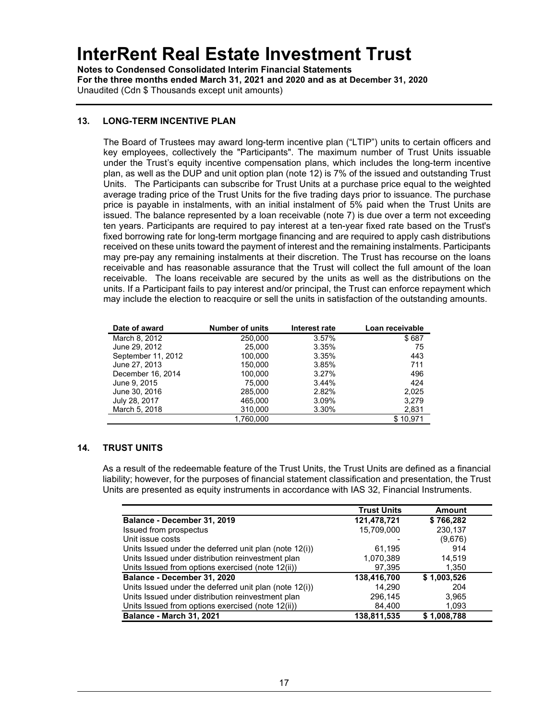Notes to Condensed Consolidated Interim Financial Statements For the three months ended March 31, 2021 and 2020 and as at December 31, 2020 Unaudited (Cdn \$ Thousands except unit amounts)

## 13. LONG-TERM INCENTIVE PLAN

The Board of Trustees may award long-term incentive plan ("LTIP") units to certain officers and key employees, collectively the "Participants". The maximum number of Trust Units issuable under the Trust's equity incentive compensation plans, which includes the long-term incentive plan, as well as the DUP and unit option plan (note 12) is 7% of the issued and outstanding Trust Units. The Participants can subscribe for Trust Units at a purchase price equal to the weighted average trading price of the Trust Units for the five trading days prior to issuance. The purchase price is payable in instalments, with an initial instalment of 5% paid when the Trust Units are issued. The balance represented by a loan receivable (note 7) is due over a term not exceeding ten years. Participants are required to pay interest at a ten-year fixed rate based on the Trust's fixed borrowing rate for long-term mortgage financing and are required to apply cash distributions received on these units toward the payment of interest and the remaining instalments. Participants may pre-pay any remaining instalments at their discretion. The Trust has recourse on the loans receivable and has reasonable assurance that the Trust will collect the full amount of the loan receivable. The loans receivable are secured by the units as well as the distributions on the units. If a Participant fails to pay interest and/or principal, the Trust can enforce repayment which may include the election to reacquire or sell the units in satisfaction of the outstanding amounts.

| Date of award      | <b>Number of units</b> | Interest rate | Loan receivable |
|--------------------|------------------------|---------------|-----------------|
| March 8, 2012      | 250,000                | 3.57%         | \$687           |
| June 29, 2012      | 25.000                 | 3.35%         | 75              |
| September 11, 2012 | 100.000                | 3.35%         | 443             |
| June 27, 2013      | 150,000                | 3.85%         | 711             |
| December 16, 2014  | 100,000                | 3.27%         | 496             |
| June 9, 2015       | 75.000                 | 3.44%         | 424             |
| June 30, 2016      | 285.000                | 2.82%         | 2.025           |
| July 28, 2017      | 465,000                | 3.09%         | 3.279           |
| March 5, 2018      | 310,000                | 3.30%         | 2,831           |
|                    | 1.760.000              |               | \$10.971        |

## 14. TRUST UNITS

As a result of the redeemable feature of the Trust Units, the Trust Units are defined as a financial liability; however, for the purposes of financial statement classification and presentation, the Trust Units are presented as equity instruments in accordance with IAS 32, Financial Instruments.

|                                                        | <b>Trust Units</b> | <b>Amount</b> |
|--------------------------------------------------------|--------------------|---------------|
| Balance - December 31, 2019                            | 121,478,721        | \$766,282     |
| Issued from prospectus                                 | 15,709,000         | 230,137       |
| Unit issue costs                                       |                    | (9,676)       |
| Units Issued under the deferred unit plan (note 12(i)) | 61.195             | 914           |
| Units Issued under distribution reinvestment plan      | 1,070,389          | 14.519        |
| Units Issued from options exercised (note 12(ii))      | 97,395             | 1,350         |
| Balance - December 31, 2020                            | 138,416,700        | \$1,003,526   |
| Units Issued under the deferred unit plan (note 12(i)) | 14.290             | 204           |
| Units Issued under distribution reinvestment plan      | 296,145            | 3,965         |
| Units Issued from options exercised (note 12(ii))      | 84,400             | 1,093         |
| <b>Balance - March 31, 2021</b>                        | 138,811,535        | \$1,008,788   |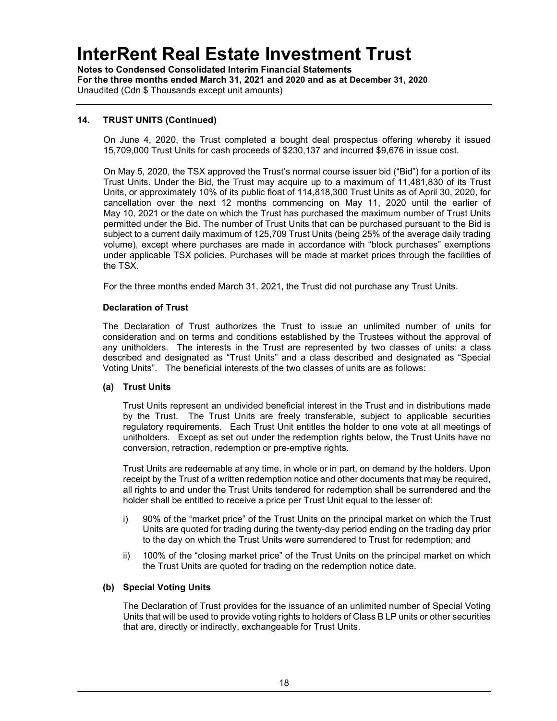Notes to Condensed Consolidated Interim Financial Statements For the three months ended March 31, 2021 and 2020 and as at December 31, 2020 Unaudited (Cdn \$ Thousands except unit amounts)

## 14. TRUST UNITS (Continued)

On June 4, 2020, the Trust completed a bought deal prospectus offering whereby it issued 15,709,000 Trust Units for cash proceeds of \$230,137 and incurred \$9,676 in issue cost.

On May 5, 2020, the TSX approved the Trust's normal course issuer bid ("Bid") for a portion of its Trust Units. Under the Bid, the Trust may acquire up to a maximum of 11,481,830 of its Trust Units, or approximately 10% of its public float of 114,818,300 Trust Units as of April 30, 2020, for cancellation over the next 12 months commencing on May 11, 2020 until the earlier of May 10, 2021 or the date on which the Trust has purchased the maximum number of Trust Units permitted under the Bid. The number of Trust Units that can be purchased pursuant to the Bid is subject to a current daily maximum of 125,709 Trust Units (being 25% of the average daily trading volume), except where purchases are made in accordance with "block purchases" exemptions under applicable TSX policies. Purchases will be made at market prices through the facilities of the TSX.

For the three months ended March 31, 2021, the Trust did not purchase any Trust Units.

### Declaration of Trust

The Declaration of Trust authorizes the Trust to issue an unlimited number of units for consideration and on terms and conditions established by the Trustees without the approval of any unitholders. The interests in the Trust are represented by two classes of units: a class described and designated as "Trust Units" and a class described and designated as "Special Voting Units". The beneficial interests of the two classes of units are as follows:

## (a) Trust Units

Trust Units represent an undivided beneficial interest in the Trust and in distributions made by the Trust. The Trust Units are freely transferable, subject to applicable securities regulatory requirements. Each Trust Unit entitles the holder to one vote at all meetings of unitholders. Except as set out under the redemption rights below, the Trust Units have no conversion, retraction, redemption or pre-emptive rights.

Trust Units are redeemable at any time, in whole or in part, on demand by the holders. Upon receipt by the Trust of a written redemption notice and other documents that may be required, all rights to and under the Trust Units tendered for redemption shall be surrendered and the holder shall be entitled to receive a price per Trust Unit equal to the lesser of:

- i) 90% of the "market price" of the Trust Units on the principal market on which the Trust Units are quoted for trading during the twenty-day period ending on the trading day prior to the day on which the Trust Units were surrendered to Trust for redemption; and
- ii) 100% of the "closing market price" of the Trust Units on the principal market on which the Trust Units are quoted for trading on the redemption notice date.

#### (b) Special Voting Units

The Declaration of Trust provides for the issuance of an unlimited number of Special Voting Units that will be used to provide voting rights to holders of Class B LP units or other securities that are, directly or indirectly, exchangeable for Trust Units.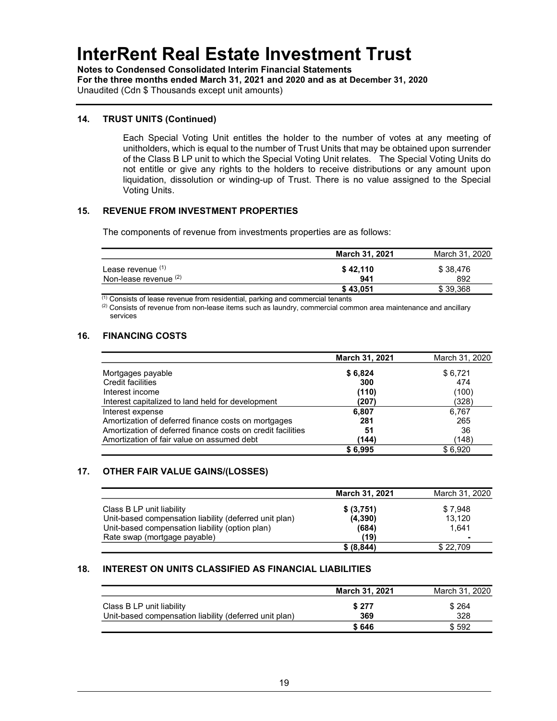Notes to Condensed Consolidated Interim Financial Statements For the three months ended March 31, 2021 and 2020 and as at December 31, 2020 Unaudited (Cdn \$ Thousands except unit amounts)

### 14. TRUST UNITS (Continued)

Each Special Voting Unit entitles the holder to the number of votes at any meeting of unitholders, which is equal to the number of Trust Units that may be obtained upon surrender of the Class B LP unit to which the Special Voting Unit relates. The Special Voting Units do not entitle or give any rights to the holders to receive distributions or any amount upon liquidation, dissolution or winding-up of Trust. There is no value assigned to the Special Voting Units.

### 15. REVENUE FROM INVESTMENT PROPERTIES

The components of revenue from investments properties are as follows:

|                         | March 31, 2021 | March 31, 2020 |
|-------------------------|----------------|----------------|
| Lease revenue (1)       | \$42.110       | \$38,476       |
| Non-lease revenue $(2)$ | 941            | 892            |
|                         | \$43,051       | \$39.368       |

 $\overline{^{(1)}}$  Consists of lease revenue from residential, parking and commercial tenants

 $(2)$  Consists of revenue from non-lease items such as laundry, commercial common area maintenance and ancillary services

## 16. FINANCING COSTS

|                                                             | March 31, 2021 | March 31, 2020 |
|-------------------------------------------------------------|----------------|----------------|
| Mortgages payable                                           | \$6,824        | \$6,721        |
| <b>Credit facilities</b>                                    | 300            | 474            |
| Interest income                                             | (110)          | (100)          |
| Interest capitalized to land held for development           | (207)          | (328)          |
| Interest expense                                            | 6.807          | 6,767          |
| Amortization of deferred finance costs on mortgages         | 281            | 265            |
| Amortization of deferred finance costs on credit facilities | 51             | 36             |
| Amortization of fair value on assumed debt                  | (144)          | (148)          |
|                                                             | \$6.995        | \$6.920        |

### 17. OTHER FAIR VALUE GAINS/(LOSSES)

|                                                                                                                                        | <b>March 31, 2021</b>          | March 31, 2020             |
|----------------------------------------------------------------------------------------------------------------------------------------|--------------------------------|----------------------------|
| Class B LP unit liability<br>Unit-based compensation liability (deferred unit plan)<br>Unit-based compensation liability (option plan) | \$ (3,751)<br>(4,390)<br>(684) | \$7.948<br>13.120<br>1.641 |
| Rate swap (mortgage payable)                                                                                                           | (19)                           |                            |
|                                                                                                                                        | \$ (8, 844)                    | \$22,709                   |

#### 18. INTEREST ON UNITS CLASSIFIED AS FINANCIAL LIABILITIES

|                                                                                     | <b>March 31, 2021</b> | March 31, 2020 |
|-------------------------------------------------------------------------------------|-----------------------|----------------|
| Class B LP unit liability<br>Unit-based compensation liability (deferred unit plan) | \$277<br>369          | \$264<br>328   |
|                                                                                     | \$646                 | \$ 592         |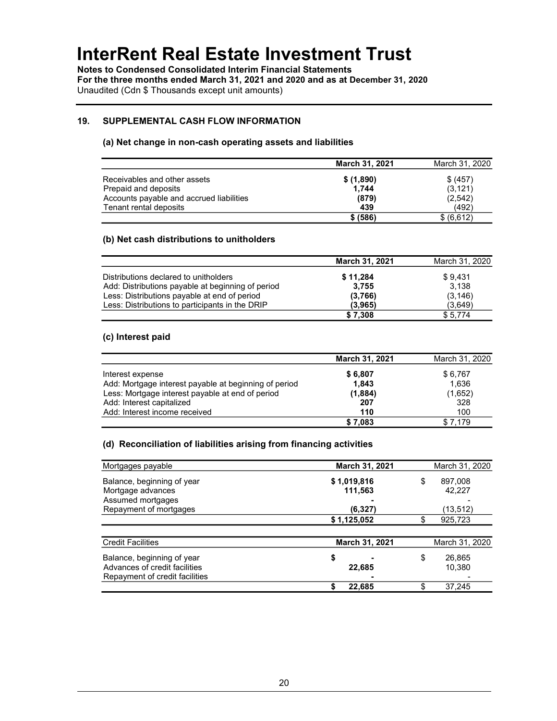Notes to Condensed Consolidated Interim Financial Statements For the three months ended March 31, 2021 and 2020 and as at December 31, 2020 Unaudited (Cdn \$ Thousands except unit amounts)

## 19. SUPPLEMENTAL CASH FLOW INFORMATION

#### (a) Net change in non-cash operating assets and liabilities

|                                          | March 31, 2021 | March 31, 2020 |
|------------------------------------------|----------------|----------------|
| Receivables and other assets             | \$(1,890)      | \$ (457)       |
| Prepaid and deposits                     | 1.744          | (3, 121)       |
| Accounts payable and accrued liabilities | (879)          | (2,542)        |
| Tenant rental deposits                   | 439            | (492)          |
|                                          | \$ (586)       | \$ (6,612)     |

### (b) Net cash distributions to unitholders

|                                                   | March 31, 2021 | March 31, 2020 |
|---------------------------------------------------|----------------|----------------|
| Distributions declared to unitholders             | \$11,284       | \$9.431        |
| Add: Distributions payable at beginning of period | 3.755          | 3.138          |
| Less: Distributions payable at end of period      | (3,766)        | (3, 146)       |
| Less: Distributions to participants in the DRIP   | (3.965)        | (3,649)        |
|                                                   | \$7,308        | \$5,774        |

### (c) Interest paid

|                                                       | <b>March 31, 2021</b> | March 31, 2020 |
|-------------------------------------------------------|-----------------------|----------------|
| Interest expense                                      | \$6,807               | \$6,767        |
| Add: Mortgage interest payable at beginning of period | 1,843                 | 1.636          |
| Less: Mortgage interest payable at end of period      | (1,884)               | (1,652)        |
| Add: Interest capitalized                             | 207                   | 328            |
| Add: Interest income received                         | 110                   | 100            |
|                                                       | \$7,083               | \$7.179        |

### (d) Reconciliation of liabilities arising from financing activities

| Mortgages payable              | March 31, 2021 |    | March 31, 2020 |
|--------------------------------|----------------|----|----------------|
| Balance, beginning of year     | \$1,019,816    | \$ | 897,008        |
| Mortgage advances              | 111,563        |    | 42,227         |
| Assumed mortgages              |                |    |                |
| Repayment of mortgages         | (6, 327)       |    | (13,512)       |
|                                | \$1,125,052    | \$ | 925,723        |
|                                |                |    |                |
| <b>Credit Facilities</b>       | March 31, 2021 |    | March 31, 2020 |
| Balance, beginning of year     | \$             | \$ | 26,865         |
| Advances of credit facilities  | 22,685         |    | 10.380         |
| Repayment of credit facilities |                |    |                |
|                                | 22,685         |    | 37,245         |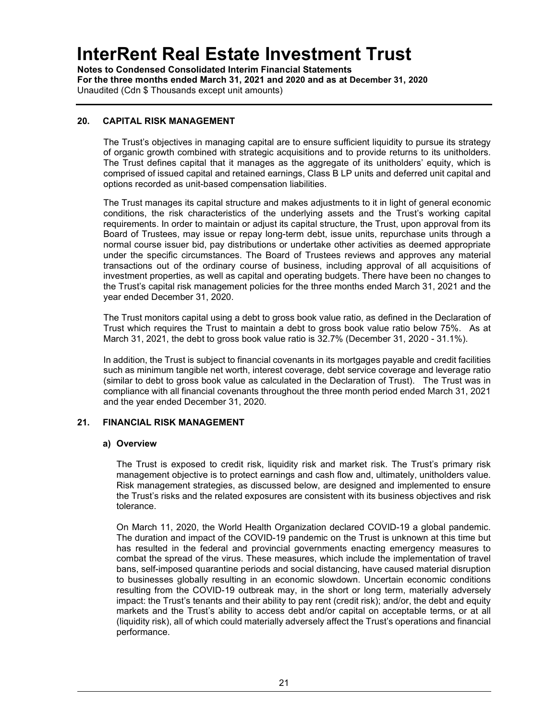Notes to Condensed Consolidated Interim Financial Statements For the three months ended March 31, 2021 and 2020 and as at December 31, 2020 Unaudited (Cdn \$ Thousands except unit amounts)

## 20. CAPITAL RISK MANAGEMENT

The Trust's objectives in managing capital are to ensure sufficient liquidity to pursue its strategy of organic growth combined with strategic acquisitions and to provide returns to its unitholders. The Trust defines capital that it manages as the aggregate of its unitholders' equity, which is comprised of issued capital and retained earnings, Class B LP units and deferred unit capital and options recorded as unit-based compensation liabilities.

The Trust manages its capital structure and makes adjustments to it in light of general economic conditions, the risk characteristics of the underlying assets and the Trust's working capital requirements. In order to maintain or adjust its capital structure, the Trust, upon approval from its Board of Trustees, may issue or repay long-term debt, issue units, repurchase units through a normal course issuer bid, pay distributions or undertake other activities as deemed appropriate under the specific circumstances. The Board of Trustees reviews and approves any material transactions out of the ordinary course of business, including approval of all acquisitions of investment properties, as well as capital and operating budgets. There have been no changes to the Trust's capital risk management policies for the three months ended March 31, 2021 and the year ended December 31, 2020.

The Trust monitors capital using a debt to gross book value ratio, as defined in the Declaration of Trust which requires the Trust to maintain a debt to gross book value ratio below 75%. As at March 31, 2021, the debt to gross book value ratio is 32.7% (December 31, 2020 - 31.1%).

In addition, the Trust is subject to financial covenants in its mortgages payable and credit facilities such as minimum tangible net worth, interest coverage, debt service coverage and leverage ratio (similar to debt to gross book value as calculated in the Declaration of Trust). The Trust was in compliance with all financial covenants throughout the three month period ended March 31, 2021 and the year ended December 31, 2020.

## 21. FINANCIAL RISK MANAGEMENT

## a) Overview

The Trust is exposed to credit risk, liquidity risk and market risk. The Trust's primary risk management objective is to protect earnings and cash flow and, ultimately, unitholders value. Risk management strategies, as discussed below, are designed and implemented to ensure the Trust's risks and the related exposures are consistent with its business objectives and risk tolerance.

On March 11, 2020, the World Health Organization declared COVID-19 a global pandemic. The duration and impact of the COVID-19 pandemic on the Trust is unknown at this time but has resulted in the federal and provincial governments enacting emergency measures to combat the spread of the virus. These measures, which include the implementation of travel bans, self-imposed quarantine periods and social distancing, have caused material disruption to businesses globally resulting in an economic slowdown. Uncertain economic conditions resulting from the COVID-19 outbreak may, in the short or long term, materially adversely impact: the Trust's tenants and their ability to pay rent (credit risk); and/or, the debt and equity markets and the Trust's ability to access debt and/or capital on acceptable terms, or at all (liquidity risk), all of which could materially adversely affect the Trust's operations and financial performance.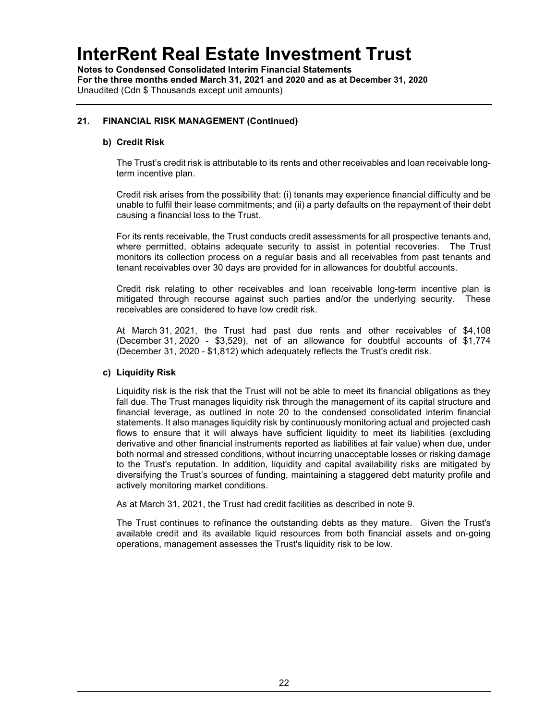Notes to Condensed Consolidated Interim Financial Statements For the three months ended March 31, 2021 and 2020 and as at December 31, 2020 Unaudited (Cdn \$ Thousands except unit amounts)

## 21. FINANCIAL RISK MANAGEMENT (Continued)

### b) Credit Risk

The Trust's credit risk is attributable to its rents and other receivables and loan receivable longterm incentive plan.

Credit risk arises from the possibility that: (i) tenants may experience financial difficulty and be unable to fulfil their lease commitments; and (ii) a party defaults on the repayment of their debt causing a financial loss to the Trust.

For its rents receivable, the Trust conducts credit assessments for all prospective tenants and, where permitted, obtains adequate security to assist in potential recoveries. The Trust monitors its collection process on a regular basis and all receivables from past tenants and tenant receivables over 30 days are provided for in allowances for doubtful accounts.

Credit risk relating to other receivables and loan receivable long-term incentive plan is mitigated through recourse against such parties and/or the underlying security. These receivables are considered to have low credit risk.

At March 31, 2021, the Trust had past due rents and other receivables of \$4,108 (December 31, 2020 - \$3,529), net of an allowance for doubtful accounts of \$1,774 (December 31, 2020 - \$1,812) which adequately reflects the Trust's credit risk.

#### c) Liquidity Risk

Liquidity risk is the risk that the Trust will not be able to meet its financial obligations as they fall due. The Trust manages liquidity risk through the management of its capital structure and financial leverage, as outlined in note 20 to the condensed consolidated interim financial statements. It also manages liquidity risk by continuously monitoring actual and projected cash flows to ensure that it will always have sufficient liquidity to meet its liabilities (excluding derivative and other financial instruments reported as liabilities at fair value) when due, under both normal and stressed conditions, without incurring unacceptable losses or risking damage to the Trust's reputation. In addition, liquidity and capital availability risks are mitigated by diversifying the Trust's sources of funding, maintaining a staggered debt maturity profile and actively monitoring market conditions.

As at March 31, 2021, the Trust had credit facilities as described in note 9.

The Trust continues to refinance the outstanding debts as they mature. Given the Trust's available credit and its available liquid resources from both financial assets and on-going operations, management assesses the Trust's liquidity risk to be low.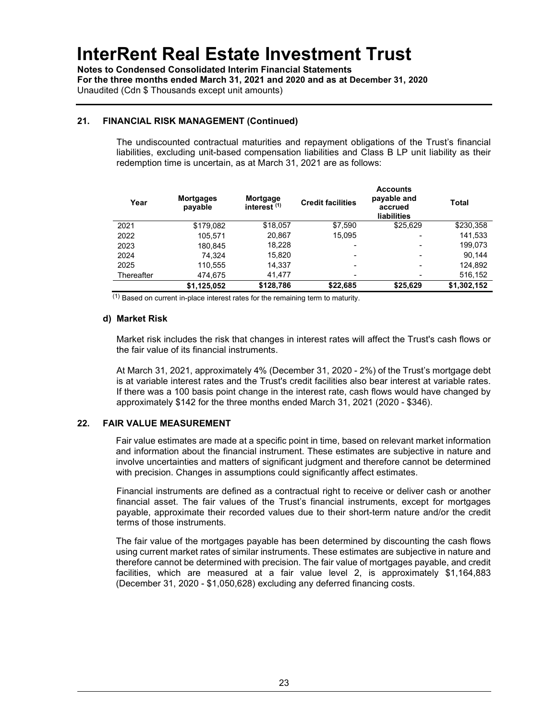Notes to Condensed Consolidated Interim Financial Statements For the three months ended March 31, 2021 and 2020 and as at December 31, 2020 Unaudited (Cdn \$ Thousands except unit amounts)

## 21. FINANCIAL RISK MANAGEMENT (Continued)

The undiscounted contractual maturities and repayment obligations of the Trust's financial liabilities, excluding unit-based compensation liabilities and Class B LP unit liability as their redemption time is uncertain, as at March 31, 2021 are as follows:

| Year       | <b>Mortgages</b><br>payable | Mortgage<br>interest <sup>(1)</sup> | <b>Credit facilities</b> | <b>Accounts</b><br>payable and<br>accrued<br><b>liabilities</b> | Total       |
|------------|-----------------------------|-------------------------------------|--------------------------|-----------------------------------------------------------------|-------------|
| 2021       | \$179,082                   | \$18,057                            | \$7,590                  | \$25,629                                                        | \$230,358   |
| 2022       | 105,571                     | 20,867                              | 15,095                   | ٠                                                               | 141,533     |
| 2023       | 180,845                     | 18,228                              | -                        | ٠                                                               | 199,073     |
| 2024       | 74.324                      | 15.820                              | -                        | $\overline{\phantom{a}}$                                        | 90,144      |
| 2025       | 110,555                     | 14.337                              | $\overline{\phantom{0}}$ | $\overline{\phantom{a}}$                                        | 124.892     |
| Thereafter | 474.675                     | 41.477                              | -                        | $\overline{\phantom{0}}$                                        | 516,152     |
|            | \$1,125,052                 | \$128,786                           | \$22,685                 | \$25,629                                                        | \$1,302,152 |

(1) Based on current in-place interest rates for the remaining term to maturity.

### d) Market Risk

Market risk includes the risk that changes in interest rates will affect the Trust's cash flows or the fair value of its financial instruments.

At March 31, 2021, approximately 4% (December 31, 2020 - 2%) of the Trust's mortgage debt is at variable interest rates and the Trust's credit facilities also bear interest at variable rates. If there was a 100 basis point change in the interest rate, cash flows would have changed by approximately \$142 for the three months ended March 31, 2021 (2020 - \$346).

## 22. FAIR VALUE MEASUREMENT

Fair value estimates are made at a specific point in time, based on relevant market information and information about the financial instrument. These estimates are subjective in nature and involve uncertainties and matters of significant judgment and therefore cannot be determined with precision. Changes in assumptions could significantly affect estimates.

Financial instruments are defined as a contractual right to receive or deliver cash or another financial asset. The fair values of the Trust's financial instruments, except for mortgages payable, approximate their recorded values due to their short-term nature and/or the credit terms of those instruments.

The fair value of the mortgages payable has been determined by discounting the cash flows using current market rates of similar instruments. These estimates are subjective in nature and therefore cannot be determined with precision. The fair value of mortgages payable, and credit facilities, which are measured at a fair value level 2, is approximately \$1,164,883 (December 31, 2020 - \$1,050,628) excluding any deferred financing costs.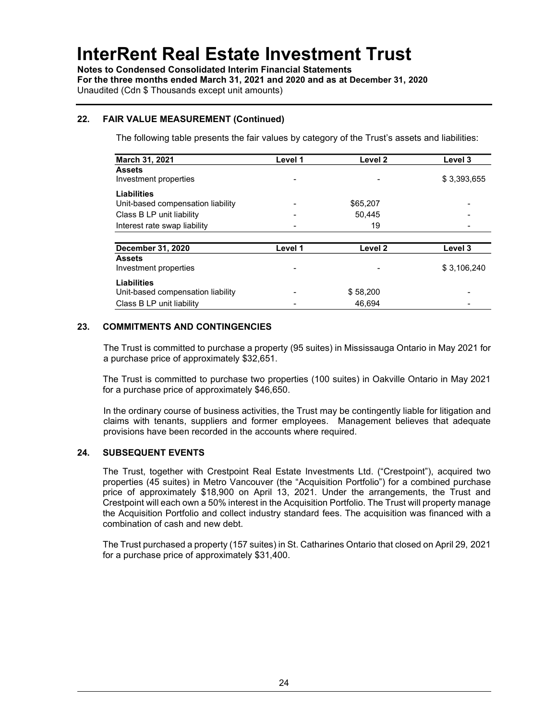Notes to Condensed Consolidated Interim Financial Statements For the three months ended March 31, 2021 and 2020 and as at December 31, 2020 Unaudited (Cdn \$ Thousands except unit amounts)

## 22. FAIR VALUE MEASUREMENT (Continued)

The following table presents the fair values by category of the Trust's assets and liabilities:

| March 31, 2021                    | Level 1 | Level 2                  | Level 3     |
|-----------------------------------|---------|--------------------------|-------------|
| <b>Assets</b>                     |         |                          |             |
| Investment properties             |         | $\overline{\phantom{a}}$ | \$3,393,655 |
| Liabilities                       |         |                          |             |
| Unit-based compensation liability |         | \$65,207                 |             |
| Class B LP unit liability         |         | 50.445                   |             |
| Interest rate swap liability      |         | 19                       |             |
|                                   |         |                          |             |
| <b>December 31, 2020</b>          | Level 1 | Level 2                  | Level 3     |
| <b>Assets</b>                     |         |                          |             |
| Investment properties             |         | $\overline{\phantom{a}}$ | \$3,106,240 |
| <b>Liabilities</b>                |         |                          |             |
| Unit-based compensation liability |         | \$58,200                 |             |
| Class B LP unit liability         |         | 46.694                   |             |

## 23. COMMITMENTS AND CONTINGENCIES

The Trust is committed to purchase a property (95 suites) in Mississauga Ontario in May 2021 for a purchase price of approximately \$32,651.

The Trust is committed to purchase two properties (100 suites) in Oakville Ontario in May 2021 for a purchase price of approximately \$46,650.

In the ordinary course of business activities, the Trust may be contingently liable for litigation and claims with tenants, suppliers and former employees. Management believes that adequate provisions have been recorded in the accounts where required.

## 24. SUBSEQUENT EVENTS

The Trust, together with Crestpoint Real Estate Investments Ltd. ("Crestpoint"), acquired two properties (45 suites) in Metro Vancouver (the "Acquisition Portfolio") for a combined purchase price of approximately \$18,900 on April 13, 2021. Under the arrangements, the Trust and Crestpoint will each own a 50% interest in the Acquisition Portfolio. The Trust will property manage the Acquisition Portfolio and collect industry standard fees. The acquisition was financed with a combination of cash and new debt.

The Trust purchased a property (157 suites) in St. Catharines Ontario that closed on April 29, 2021 for a purchase price of approximately \$31,400.